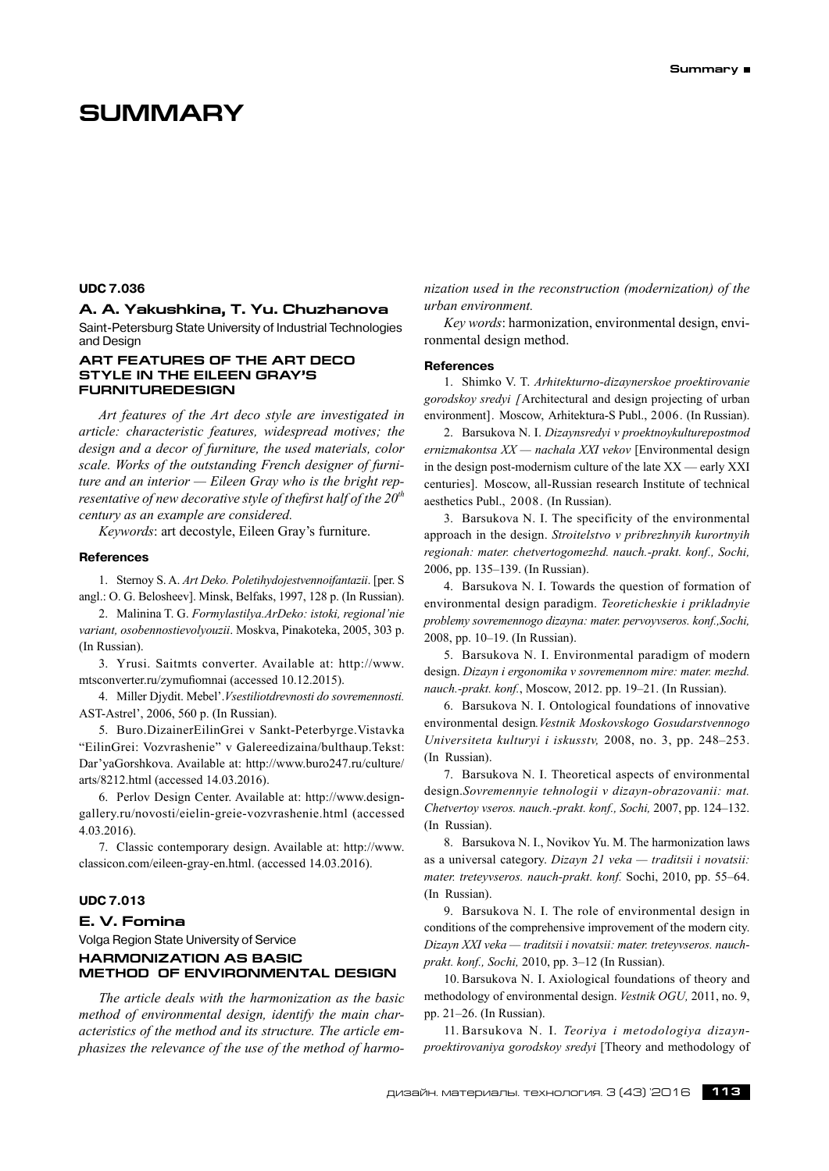#### **UDC 7.036**

## **A. A. Yakushkina, T. Yu. Chuzhanova**

Saint-Petersburg State University of Industrial Technologies and Design

# **Art features of the Art deco style in the Eileen Gray's furnituredesign**

*Art features of the Art deco style are investigated in article: characteristic features, widespread motives; the design and a decor of furniture, the used materials, color scale. Works of the outstanding French designer of furniture and an interior — Eileen Gray who is the bright representative of new decorative style of thefirst half of the 20th century as an example are considered.*

*Keywords*: art decostyle, Eileen Gray's furniture.

#### **References**

1. Sternoy S. A. *Art Deko. Poletihydojestvennoifantazii*. [per. S angl.: O. G. Belosheev]. Minsk, Belfaks, 1997, 128 p. (In Russian).

2. Malinina T. G. *Formylastilya.ArDeko: istoki, regional'nie variant, osobennostievolyouzii*. Moskva, Pinakoteka, 2005, 303 p. (In Russian).

3. Yrusi. Saitmts converter. Available at: http://www. mtsconverter.ru/zymufiomnai (accessed 10.12.2015).

4. Miller Djydit. Mebel'.*Vsestiliotdrevnosti do sovremennosti.* AST-Astrel', 2006, 560 p. (In Russian).

5. Buro.DizainerEilinGrei v Sankt-Peterbyrge.Vistavka "EilinGrei: Vozvrashenie" v Galereedizaina/bulthaup.Tekst: Dar'yaGorshkova. Available at: http://www.buro247.ru/culture/ arts/8212.html (accessed 14.03.2016).

6. Perlov Design Center. Available at: http://www.designgallery.ru/novosti/eielin-greie-vozvrashenie.html (accessed 4.03.2016).

7. Сlassic contemporary design. Available at: http://www. classicon.com/eileen-gray-en.html. (accessed 14.03.2016).

# **UDC 7.013**

# **E. V. Fomina**

Volga Region State University of Service **HARMONIZATION AS BASIC METHOD OF ENVIRONMENTAL DESIGN**

*The article deals with the harmonization as the basic method of environmental design, identify the main characteristics of the method and its structure. The article emphasizes the relevance of the use of the method of harmo-* *nization used in the reconstruction (modernization) of the urban environment.*

*Key words*: harmonization, environmental design, environmental design method.

#### **References**

1. Shimko V. T. *Arhitekturno-dizaynerskoe proektirovanie gorodskoy sredyi [*Architectural and design projecting of urban environment]. Moscow, Arhitektura-S Publ., 2006. (In Russian).

2. Barsukova N. I. *Dizaynsredyi v proektnoykulturepostmod ernizmakontsa XX — nachala XXI vekov* [Environmental design in the design post-modernism culture of the late XX — early XXI centuries]. Moscow, all-Russian research Institute of technical aesthetics Publ., 2008. (In Russian).

3. Barsukova N. I. The specificity of the environmental approach in the design. *Stroitelstvo v pribrezhnyih kurortnyih regionah: mater. chetvertogomezhd. nauch.‑prakt. konf., Sochi,* 2006, pp. 135–139. (In Russian).

4. Barsukova N. I. Towards the question of formation of environmental design paradigm. *Teoreticheskie i prikladnyie problemy sovremennogo dizayna: mater. pervoyvseros. konf.,Sochi,* 2008, pp. 10–19. (In Russian).

5. Barsukova N. I. Environmental paradigm of modern design. *Dizayn i ergonomika v sovremennom mire: mater. mezhd. nauch.‑prakt. konf.*, Moscow, 2012. pp. 19–21. (In Russian).

6. Barsukova N. I. Ontological foundations of innovative environmental design*.Vestnik Moskovskogo Gosudarstvennogo Universiteta kulturyi i iskusstv,* 2008, no. 3, pp. 248–253. (In Russian).

7. Barsukova N. I. Theoretical aspects of environmental design.*Sovremennyie tehnologii v dizayn-obrazovanii: mat. Chetvertoy vseros. nauch.‑prakt. konf., Sochi,* 2007, pp. 124–132. (In Russian).

8. Barsukova N. I., Novikov Yu. M. The harmonization laws as a universal category. *Dizayn 21 veka — traditsii i novatsii: mater. treteyvseros. nauch-prakt. konf.* Sochi, 2010, pp. 55–64. (In Russian).

9. Barsukova N. I. The role of environmental design in conditions of the comprehensive improvement of the modern city. *Dizayn XXI veka — traditsii i novatsii: mater. treteyvseros. nauchprakt. konf., Sochi,* 2010, pp. 3–12 (In Russian).

10. Barsukova N. I. Axiological foundations of theory and methodology of environmental design. *Vestnik OGU,* 2011, no. 9, pp. 21–26. (In Russian).

11. Barsukova N. I. *Teoriya i metodologiya dizaynproektirovaniya gorodskoy sredyi* [Theory and methodology of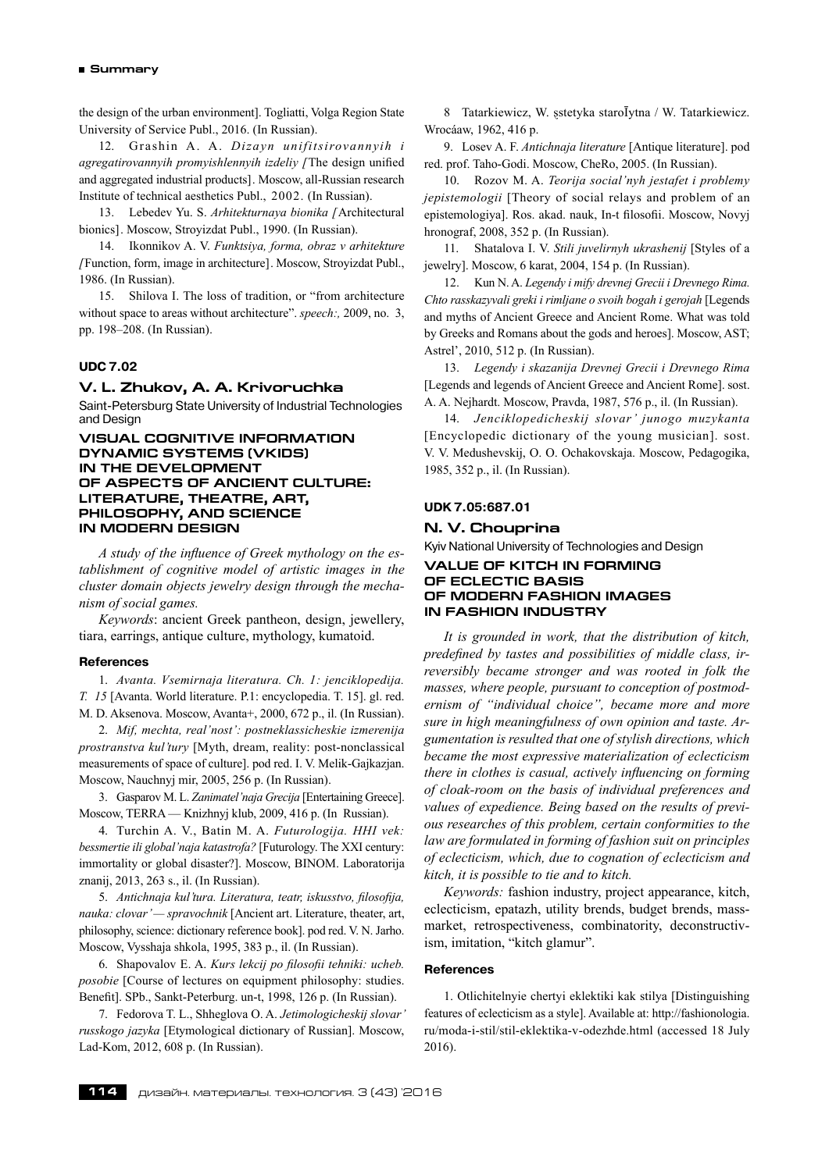the design of the urban environment]. Togliatti, Volga Region State University of Service Publ., 2016. (In Russian).

12. Grashin A. A. *Dizayn unifitsirovannyih i agregatirovannyih promyishlennyih izdeliy [*The design unified and aggregated industrial products]. Moscow, all-Russian research Institute of technical aesthetics Publ., 2002. (In Russian).

13. Lebedev Yu. S. *Arhitekturnaya bionika [*Architectural bionics]. Moscow, Stroyizdat Publ., 1990. (In Russian).

14. Ikonnikov A. V. *Funktsiya, forma, obraz v arhitekture [*Function, form, image in architecture]. Moscow, Stroyizdat Publ., 1986. (In Russian).

15. Shilova I. The loss of tradition, or "from architecture without space to areas without architecture". *speech:,* 2009, no. 3, pp. 198–208. (In Russian).

#### **UDC 7.02**

# **V. L. Zhukov, A. A. Krivoruchka**

Saint-Petersburg State University of Industrial Technologies and Design

## **VISUAL COGNITIVE INFORMATION DYNAMIC SYSTEMS (VKIDS) IN THE DEVELOPMENT OF ASPECTS OF ANCIENT CULTURE: LITERATURE, THEATRE, ART, PHILOSOPHY, AND SCIENCE IN MODERN DESIGN**

*A study of the influence of Greek mythology on the establishment of cognitive model of artistic images in the cluster domain objects jewelry design through the mechanism of social games.*

*Keywords*: ancient Greek pantheon, design, jewellery, tiara, earrings, antique culture, mythology, kumatoid.

#### **References**

1. *Avanta. Vsemirnaja literatura. Ch. 1: jenciklopedija. T. 15* [Avanta. World literature. P.1: encyclopedia. T. 15]. gl. red. M. D. Aksenova. Moscow, Avanta+, 2000, 672 p., il. (In Russian).

2. *Mif, mechta, real'nost': postneklassicheskie izmerenija prostranstva kul'tury* [Myth, dream, reality: post-nonclassical measurements of space of culture]. pod red. I. V. Melik-Gajkazjan. Moscow, Nauchnyj mir, 2005, 256 p. (In Russian).

3. Gasparov M. L. *Zanimatel'naja Grecija* [Entertaining Greece]. Moscow, TERRA — Knizhnyj klub, 2009, 416 p. (In Russian).

4. Turchin A. V., Batin M. A. *Futurologija. HHI vek: bessmertie ili global'naja katastrofa?* [Futurology. The XXI century: immortality or global disaster?]. Moscow, BINOM. Laboratorija znanij, 2013, 263 s., il. (In Russian).

5. *Antichnaja kul'tura. Literatura, teatr, iskusstvo, filosofija, nauka: clovar' — spravochnik* [Ancient art, Literature, theater, art, philosophy, science: dictionary reference book]. pod red. V. N. Jarho. Moscow, Vysshaja shkola, 1995, 383 p., il. (In Russian).

6. Shapovalov E. A. *Kurs lekcij po filosofii tehniki: ucheb. posobie* [Course of lectures on equipment philosophy: studies. Benefit]. SPb., Sankt-Peterburg. un-t, 1998, 126 p. (In Russian).

7. Fedorova T. L., Shheglova O. A. *Jetimologicheskij slovar' russkogo jazyka* [Etymological dictionary of Russian]. Moscow, Lad-Kom, 2012, 608 p. (In Russian).

8 Tatarkiewicz, W. sstetyka staroĪytna / W. Tatarkiewicz. Wrocáaw, 1962, 416 p.

9. Losev A. F. *Antichnaja literature* [Antique literature]. pod red. prof. Taho-Godi. Moscow, CheRo, 2005. (In Russian).

10. Rozov M. A. *Teorija social'nyh jestafet i problemy jepistemologii* [Theory of social relays and problem of an epistemologiya]. Ros. akad. nauk, In-t filosofii. Moscow, Novyj hronograf, 2008, 352 p. (In Russian).

11. Shatalova I. V. *Stili juvelirnyh ukrashenij* [Styles of a jewelry]. Moscow, 6 karat, 2004, 154 p. (In Russian).

12. Kun N. A. *Legendy i mify drevnej Grecii i Drevnego Rima. Chto rasskazyvali greki i rimljane o svoih bogah i gerojah* [Legends and myths of Ancient Greece and Ancient Rome. What was told by Greeks and Romans about the gods and heroes]. Moscow, AST; Astrel', 2010, 512 p. (In Russian).

13. *Legendy i skazanija Drevnej Grecii i Drevnego Rima* [Legends and legends of Ancient Greece and Ancient Rome]. sost. A. A. Nejhardt. Moscow, Pravda, 1987, 576 p., il. (In Russian).

14. *Jenciklopedicheskij slovar' junogo muzykanta* [Encyclopedic dictionary of the young musician]. sost. V. V. Medushevskij, O. O. Ochakovskaja. Moscow, Pedagogika, 1985, 352 p., il. (In Russian).

## **UDK 7.05:687.01**

#### **N. V. Chouprina**

Kyiv National University of Technologies and Design **VALUE OF KITCH IN FORMING OF ECLECTIC BASIS OF MODERN FASHION IMAGES IN FASHION INDUSTRY**

*It is grounded in work, that the distribution of kitch, predefined by tastes and possibilities of middle class, irreversibly became stronger and was rooted in folk the masses, where people, pursuant to conception of postmodernism of "individual choice", became more and more sure in high meaningfulness of own opinion and taste. Argumentation is resulted that one of stylish directions, which became the most expressive materialization of eclecticism there in clothes is casual, actively influencing on forming of cloak-room on the basis of individual preferences and values of expedience. Being based on the results of previous researches of this problem, certain conformities to the law are formulated in forming of fashion suit on principles of eclecticism, which, due to cognation of eclecticism and kitch, it is possible to tie and to kitch.*

*Keywords:* fashion industry, project appearance, kitch, eclecticism, epatazh, utility brends, budget brends, massmarket, retrospectiveness, combinatority, deconstructivism, imitation, "kitch glamur".

#### **References**

1. Otlichitelnyie chertyi eklektiki kak stilya [Distinguishing features of eclecticism as a style]. Available at: http://fashionologia. ru/moda-i-stil/stil-eklektika-v-odezhde.html (accessed 18 July 2016).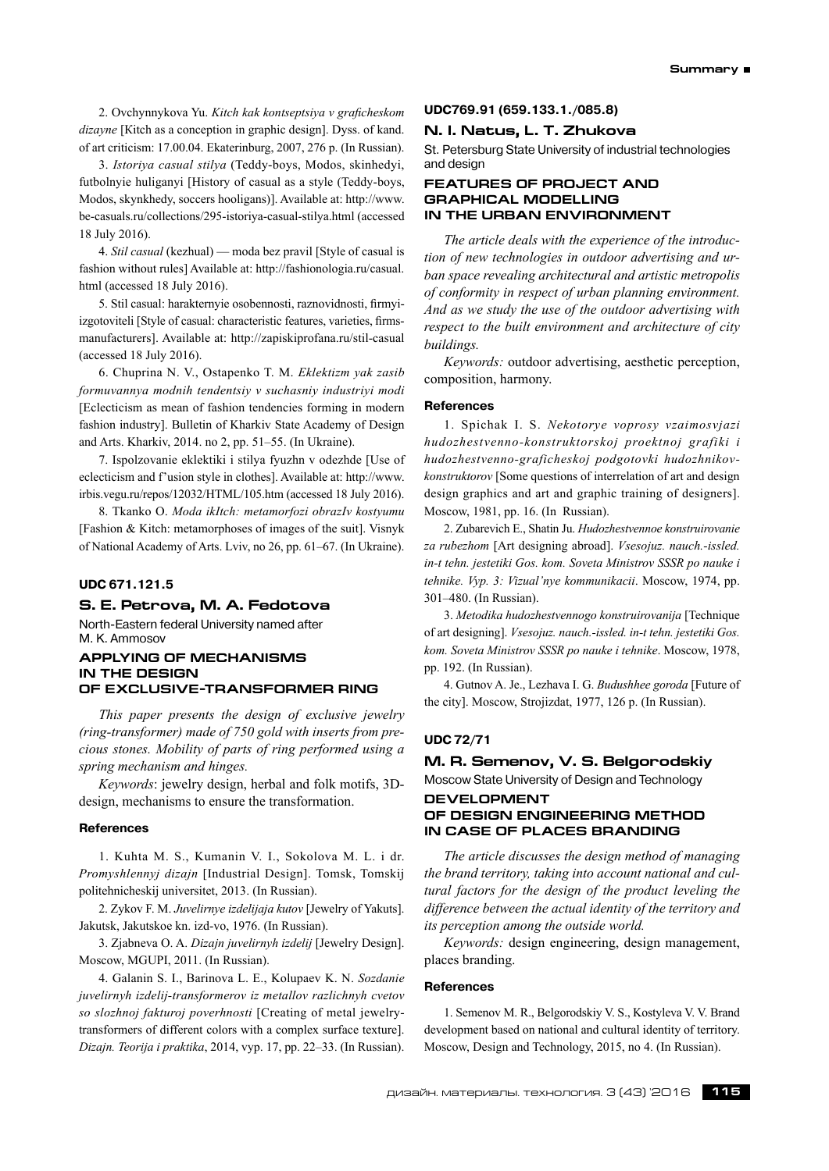2. Ovchynnykova Yu. *Kitch kak kontseptsiya v graficheskom dizayne* [Кitch as a conception in graphic design]. Dyss. of kand. of art criticism: 17.00.04. Ekaterinburg, 2007, 276 p. (In Russian).

3. *Istoriya casual stilya* (Teddy-boys, Modos, skinhedyi, futbolnyie huliganyi [History of casual as a style (Teddy-boys, Modos, skynkhedy, soccers hooligans)]. Available at: http://www. be-casuals.ru/collections/295‑istoriya-casual-stilya.html (accessed 18 July 2016).

4. *Stil casual* (kezhual) — moda bez pravil [Style of casual is fashion without rules] Available at: http://fashionologia.ru/casual. html (accessed 18 July 2016).

5. Stil casual: harakternyie osobennosti, raznovidnosti, firmyiizgotoviteli [Style of casual: characteristic features, varieties, firmsmanufacturers]. Available at: http://zapiskiprofana.ru/stil-casual (accessed 18 July 2016).

6. Chuprina N. V., Ostapenko T. М. *Eklektizm yak zasib formuvannya modnih tendentsiy v suchasniy industriyi modi* [Eclecticism as mean of fashion tendencies forming in modern fashion industry]. Bulletin of Kharkiv State Academy of Design and Arts. Kharkiv, 2014. no 2, pp. 51–55. (In Ukraine).

7. Ispolzovanie eklektiki i stilya fyuzhn v odezhde [Use of eclecticism and f'usion style in clothes]. Available at: http://www. irbis.vegu.ru/repos/12032/HTML/105.htm (accessed 18 July 2016).

8. Tkanko О. *Moda ikItch: metamorfozi obrazIv kostyumu* [Fashion & Kitch: metamorphoses of images of the suit]. Visnyk of National Academy of Arts. Lviv, no 26, pp. 61–67. (In Ukraine).

## **UDC 671.121.5**

#### **S. E. Petrova, M. A. Fedotova**

North-Eastern federal University named after M. K. Ammosov

## **APPLYING OF MECHANISMS IN THE DESIGN OF EXCLUSIVE-TRANSFORMER RING**

*This paper presents the design of exclusive jewelry (ring-transformer) made of 750 gold with inserts from precious stones. Mobility of parts of ring performed using a spring mechanism and hinges.*

*Keywords*: jewelry design, herbal and folk motifs, 3Ddesign, mechanisms to ensure the transformation.

## **References**

1. Kuhta M. S., Kumanin V. I., Sokolova M. L. i dr. *Promyshlennyj dizajn* [Industrial Design]. Tomsk, Tomskij politehnicheskij universitet, 2013. (In Russian).

2. Zykov F. M. *Juvelirnye izdelijaja kutov* [Jewelry of Yakuts]. Jakutsk, Jakutskoe kn. izd-vo, 1976. (In Russian).

3. Zjabneva O. A. *Dizajn juvelirnyh izdelij* [Jewelry Design]. Moscow, MGUPI, 2011. (In Russian).

4. Galanin S. I., Barinova L. E., Kolupaev K. N. *Sozdanie juvelirnyh izdelij-transformerov iz metallov razlichnyh cvetov so slozhnoj fakturoj poverhnosti* [Creating of metal jewelrytransformers of different colors with a complex surface texture]. *Dizajn. Teorija i praktika*, 2014, vyp. 17, pp. 22–33. (In Russian).

# **UDC769.91 (659.133.1./085.8)**

# **N. I. Natus, L. T. Zhukova**

St. Petersburg State University of industrial technologies and design

# **FEATURES OF PROJECT AND GRAPHICAL MODELLING IN THE URBAN ENVIRONMENT**

*The article deals with the experience of the introduction of new technologies in outdoor advertising and urban space revealing architectural and artistic metropolis of conformity in respect of urban planning environment. And as we study the use of the outdoor advertising with respect to the built environment and architecture of city buildings.*

*Keywords:* outdoor advertising, aesthetic perception, composition, harmony.

#### **References**

1. Spichak I. S. *Nekotorye voprosy vzaimosvjazi hudozhestvenno-konstruktorskoj proektnoj grafiki i hudozhestvenno-graficheskoj podgotovki hudozhnikovkonstruktorov* [Some questions of interrelation of art and design design graphics and art and graphic training of designers]. Moscow, 1981, pp. 16. (In Russian).

2. Zubarevich E., Shatin Ju. *Hudozhestvennoe konstruirovanie za rubezhom* [Art designing abroad]. *Vsesojuz. nauch.‑issled. in-t tehn. jestetiki Gos. kom. Soveta Ministrov SSSR po nauke i tehnike. Vyp. 3: Vizual'nye kommunikacii*. Moscow, 1974, pp. 301–480. (In Russian).

3. *Metodika hudozhestvennogo konstruirovanija* [Technique of art designing]. *Vsesojuz. nauch.‑issled. in-t tehn. jestetiki Gos. kom. Soveta Ministrov SSSR po nauke i tehnike*. Moscow, 1978, pp. 192. (In Russian).

4. Gutnov A. Je., Lezhava I. G. *Budushhee goroda* [Future of the city]. Moscow, Strojizdat, 1977, 126 p. (In Russian).

## **UDC 72/71**

# **M. R. Semenov, V. S. Belgorodskiy** Moscow State University of Design and Technology

**DEVELOPMENT** 

# **OF DESIGN ENGINEERING METHOD IN CASE OF PLACES BRANDING**

*The article discusses the design method of managing the brand territory, taking into account national and cultural factors for the design of the product leveling the difference between the actual identity of the territory and its perception among the outside world.*

*Keywords:* design engineering, design management, places branding.

#### **References**

1. Semenov M. R., Belgorodskiy V. S., Kostyleva V. V. Brand development based on national and cultural identity of territory. Moscow, Design and Technology, 2015, no 4. (In Russian).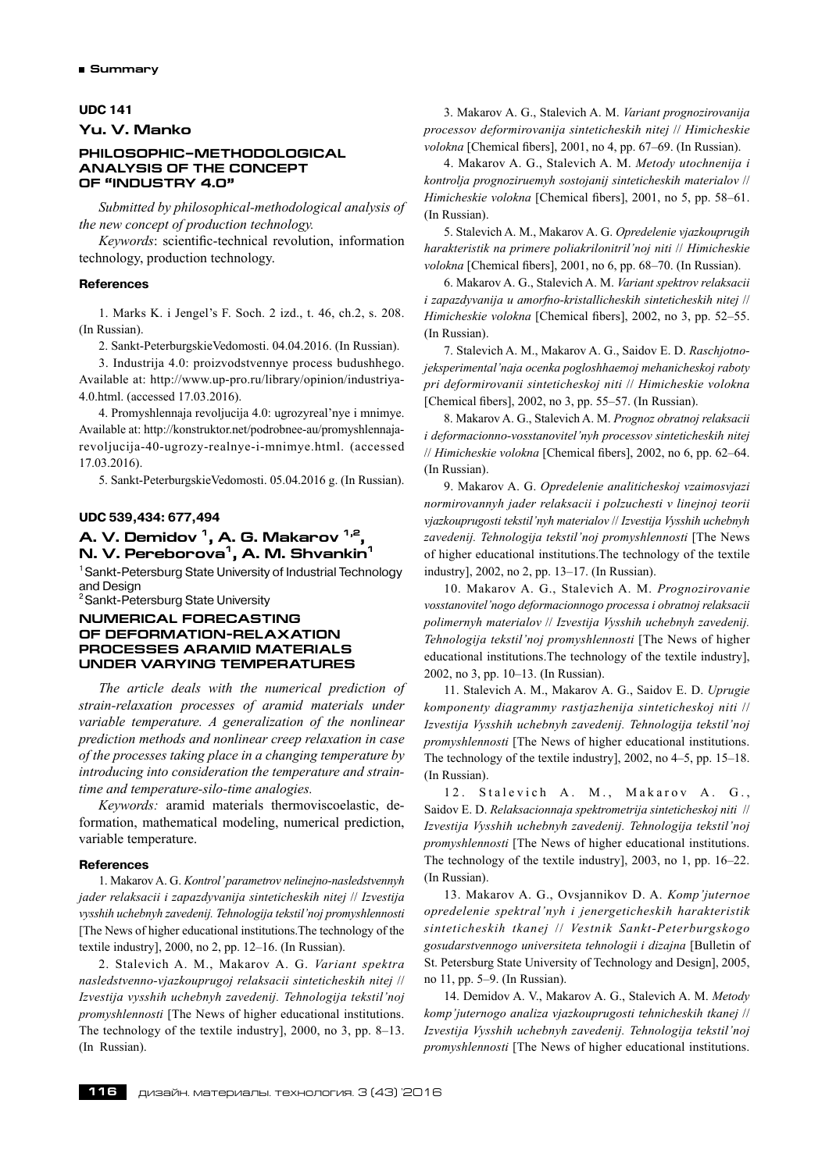## **UDC 141**

**Yu. V. Manko**

# **PHILOSOPHIC–METHODOLOGICAL ANALYSIS OF THE CONCEPT OF "INDUSTRY 4.0"**

*Submitted by philosophical-methodological analysis of the new concept of production technology.*

*Keywords*: scientific-technical revolution, information technology, production technology.

#### **References**

1. Marks K. i Jengel's F. Soch. 2 izd., t. 46, ch.2, s. 208. (In Russian).

2. Sankt-PeterburgskieVedomosti. 04.04.2016. (In Russian).

3. Industrija 4.0: proizvodstvennye process budushhego. Available at: http://www.up-pro.ru/library/opinion/industriya-4.0.html. (accessed 17.03.2016).

4. Promyshlennaja revoljucija 4.0: ugrozyreal'nye i mnimye. Available at: http://konstruktor.net/podrobnee-au/promyshlennajarevoljucija-40‑ugrozy-realnye-i-mnimye.html. (accessed 17.03.2016).

5. Sankt-PeterburgskieVedomosti. 05.04.2016 g. (In Russian).

# **UDC 539,434: 677,494**

# **A. V. Demidov 1, A. G. Makarov 1,2, N. V. Pereborova1, A. M. Shvankin1**

<sup>1</sup> Sankt-Petersburg State University of Industrial Technology and Design

<sup>2</sup> Sankt-Petersburg State University

## **NUMERICAL FORECASTING OF DEFORMATION-RELAXATION PROCESSES ARAMID MATERIALS UNDER VARYING TEMPERATURES**

*The article deals with the numerical prediction of strain-relaxation processes of aramid materials under variable temperature. A generalization of the nonlinear prediction methods and nonlinear creep relaxation in case of the processes taking place in a changing temperature by introducing into consideration the temperature and straintime and temperature-silo-time analogies.*

*Keywords:* aramid materials thermoviscoelastic, deformation, mathematical modeling, numerical prediction, variable temperature.

#### **References**

1. Makarov A. G. *Kontrol'parametrov nelinejno-nasledstvennyh jader relaksacii i zapazdyvanija sinteticheskih nitej* // *Izvestija vysshih uchebnyh zavedenij. Tehnologija tekstil'noj promyshlennosti* [The News of higher educational institutions.The technology of the textile industry], 2000, no 2, pp. 12–16. (In Russian).

2. Stalevich A. M., Makarov A. G. *Variant spektra nasledstvenno-vjazkouprugoj relaksacii sinteticheskih nitej* // *Izvestija vysshih uchebnyh zavedenij. Tehnologija tekstil'noj promyshlennosti* [The News of higher educational institutions. The technology of the textile industry], 2000, no 3, pp. 8–13. (In Russian).

3. Makarov A. G., Stalevich A. M. *Variant prognozirovanija processov deformirovanija sinteticheskih nitej* // *Himicheskie volokna* [Chemical fibers], 2001, no 4, pp. 67–69. (In Russian).

4. Makarov A. G., Stalevich A. M. *Metody utochnenija i kontrolja prognoziruemyh sostojanij sinteticheskih materialov* // *Himicheskie volokna* [Chemical fibers], 2001, no 5, pp. 58–61. (In Russian).

5. Stalevich A. M., Makarov A. G. *Opredelenie vjazkouprugih harakteristik na primere poliakrilonitril'noj niti* // *Himicheskie volokna* [Chemical fibers], 2001, no 6, pp. 68–70. (In Russian).

6. Makarov A. G., Stalevich A. M. *Variant spektrov relaksacii i zapazdyvanija u amorfno-kristallicheskih sinteticheskih nitej* // *Himicheskie volokna* [Chemical fibers], 2002, no 3, pp. 52–55. (In Russian).

7. Stalevich A. M., Makarov A. G., Saidov E. D. *Raschjotnojeksperimental'naja ocenka pogloshhaemoj mehanicheskoj raboty pri deformirovanii sinteticheskoj niti* // *Himicheskie volokna* [Chemical fibers], 2002, no 3, pp. 55–57. (In Russian).

8. Makarov A. G., Stalevich A. M. *Prognoz obratnoj relaksacii i deformacionno-vosstanovitel'nyh processov sinteticheskih nitej* // *Himicheskie volokna* [Chemical fibers], 2002, no 6, pp. 62–64. (In Russian).

9. Makarov A. G. *Opredelenie analiticheskoj vzaimosvjazi normirovannyh jader relaksacii i polzuchesti v linejnoj teorii vjazkouprugosti tekstil'nyh materialov* // *Izvestija Vysshih uchebnyh zavedenij. Tehnologija tekstil'noj promyshlennosti* [The News of higher educational institutions.The technology of the textile industry], 2002, no 2, pp. 13–17. (In Russian).

10. Makarov A. G., Stalevich A. M. *Prognozirovanie vosstanovitel'nogo deformacionnogo processa i obratnoj relaksacii polimernyh materialov* // *Izvestija Vysshih uchebnyh zavedenij. Tehnologija tekstil'noj promyshlennosti* [The News of higher educational institutions.The technology of the textile industry], 2002, no 3, pp. 10–13. (In Russian).

11. Stalevich A. M., Makarov A. G., Saidov E. D. *Uprugie komponenty diagrammy rastjazhenija sinteticheskoj niti* // *Izvestija Vysshih uchebnyh zavedenij. Tehnologija tekstil'noj promyshlennosti* [The News of higher educational institutions. The technology of the textile industry], 2002, no 4–5, pp. 15–18. (In Russian).

12. Stalevich A. M., Makarov A. G., Saidov E. D. *Relaksacionnaja spektrometrija sinteticheskoj niti* // *Izvestija Vysshih uchebnyh zavedenij. Tehnologija tekstil'noj promyshlennosti* [The News of higher educational institutions. The technology of the textile industry], 2003, no 1, pp. 16–22. (In Russian).

13. Makarov A. G., Ovsjannikov D. A. *Komp'juternoe opredelenie spektral'nyh i jenergeticheskih harakteristik sinteticheskih tkanej* // *Vestnik Sankt-Peterburgskogo gosudarstvennogo universiteta tehnologii i dizajna* [Bulletin of St. Petersburg State University of Technology and Design], 2005, no 11, pp. 5–9. (In Russian).

14. Demidov A. V., Makarov A. G., Stalevich A. M. *Metody komp'juternogo analiza vjazkouprugosti tehnicheskih tkanej* // *Izvestija Vysshih uchebnyh zavedenij. Tehnologija tekstil'noj promyshlennosti* [The News of higher educational institutions.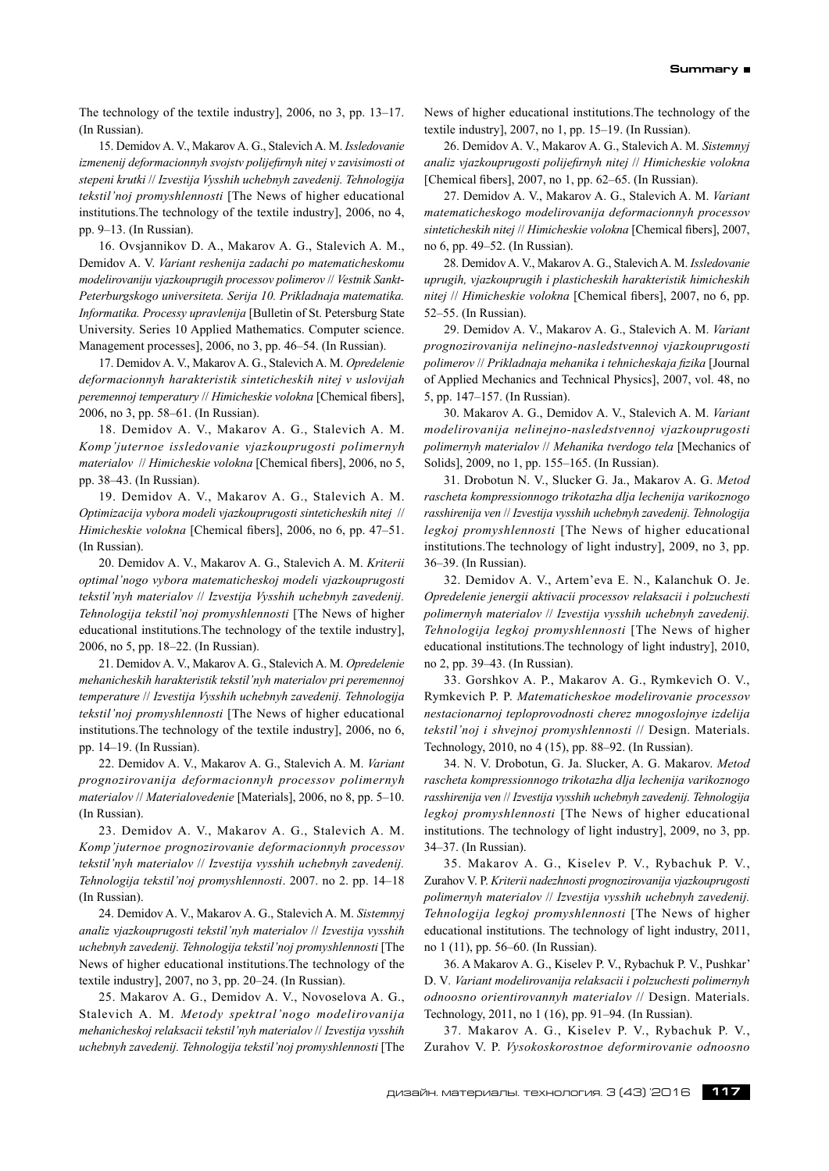The technology of the textile industry], 2006, no 3, pp. 13–17. (In Russian).

15. Demidov A. V., Makarov A. G., Stalevich A. M. *Issledovanie izmenenij deformacionnyh svojstv polijefirnyh nitej v zavisimosti ot stepeni krutki* // *Izvestija Vysshih uchebnyh zavedenij. Tehnologija tekstil'noj promyshlennosti* [The News of higher educational institutions.The technology of the textile industry], 2006, no 4, pp. 9–13. (In Russian).

16. Ovsjannikov D. A., Makarov A. G., Stalevich A. M., Demidov A. V. *Variant reshenija zadachi po matematicheskomu modelirovaniju vjazkouprugih processov polimerov* // *Vestnik Sankt-Peterburgskogo universiteta. Serija 10. Prikladnaja matematika. Informatika. Processy upravlenija* [Bulletin of St. Petersburg State University. Series 10 Applied Mathematics. Computer science. Management processes], 2006, no 3, pp. 46–54. (In Russian).

17. Demidov A. V., Makarov A. G., Stalevich A. M. *Opredelenie deformacionnyh harakteristik sinteticheskih nitej v uslovijah peremennoj temperatury* // *Himicheskie volokna* [Chemical fibers], 2006, no 3, pp. 58–61. (In Russian).

18. Demidov A. V., Makarov A. G., Stalevich A. M. *Komp'juternoe issledovanie vjazkouprugosti polimernyh materialov* // *Himicheskie volokna* [Chemical fibers], 2006, no 5, pp. 38–43. (In Russian).

19. Demidov A. V., Makarov A. G., Stalevich A. M. *Optimizacija vybora modeli vjazkouprugosti sinteticheskih nitej* // *Himicheskie volokna* [Chemical fibers], 2006, no 6, pp. 47–51. (In Russian).

20. Demidov A. V., Makarov A. G., Stalevich A. M. *Kriterii optimal'nogo vybora matematicheskoj modeli vjazkouprugosti tekstil'nyh materialov* // *Izvestija Vysshih uchebnyh zavedenij. Tehnologija tekstil'noj promyshlennosti* [The News of higher educational institutions.The technology of the textile industry], 2006, no 5, pp. 18–22. (In Russian).

21. Demidov A. V., Makarov A. G., Stalevich A. M. *Opredelenie mehanicheskih harakteristik tekstil'nyh materialov pri peremennoj temperature* // *Izvestija Vysshih uchebnyh zavedenij. Tehnologija tekstil'noj promyshlennosti* [The News of higher educational institutions.The technology of the textile industry], 2006, no 6, pp. 14–19. (In Russian).

22. Demidov A. V., Makarov A. G., Stalevich A. M. *Variant prognozirovanija deformacionnyh processov polimernyh materialov* // *Materialovedenie* [Materials], 2006, no 8, pp. 5–10. (In Russian).

23. Demidov A. V., Makarov A. G., Stalevich A. M. *Komp'juternoe prognozirovanie deformacionnyh processov tekstil'nyh materialov* // *Izvestija vysshih uchebnyh zavedenij. Tehnologija tekstil'noj promyshlennosti*. 2007. no 2. pp. 14–18 (In Russian).

24. Demidov A. V., Makarov A. G., Stalevich A. M. *Sistemnyj analiz vjazkouprugosti tekstil'nyh materialov* // *Izvestija vysshih uchebnyh zavedenij. Tehnologija tekstil'noj promyshlennosti* [The News of higher educational institutions.The technology of the textile industry], 2007, no 3, pp. 20–24. (In Russian).

25. Makarov A. G., Demidov A. V., Novoselova A. G., Stalevich A. M. *Metody spektral'nogo modelirovanija mehanicheskoj relaksacii tekstil'nyh materialov* // *Izvestija vysshih uchebnyh zavedenij. Tehnologija tekstil'noj promyshlennosti* [The News of higher educational institutions.The technology of the textile industry], 2007, no 1, pp. 15–19. (In Russian).

26. Demidov A. V., Makarov A. G., Stalevich A. M. *Sistemnyj analiz vjazkouprugosti polijefirnyh nitej* // *Himicheskie volokna* [Chemical fibers], 2007, no 1, pp. 62–65. (In Russian).

27. Demidov A. V., Makarov A. G., Stalevich A. M. *Variant matematicheskogo modelirovanija deformacionnyh processov sinteticheskih nitej* // *Himicheskie volokna* [Chemical fibers], 2007, no 6, pp. 49–52. (In Russian).

28. Demidov A. V., Makarov A. G., Stalevich A. M. *Issledovanie uprugih, vjazkouprugih i plasticheskih harakteristik himicheskih nitej* // *Himicheskie volokna* [Chemical fibers], 2007, no 6, pp. 52–55. (In Russian).

29. Demidov A. V., Makarov A. G., Stalevich A. M. *Variant prognozirovanija nelinejno-nasledstvennoj vjazkouprugosti polimerov* // *Prikladnaja mehanika i tehnicheskaja fizika* [Journal of Applied Mechanics and Technical Physics], 2007, vol. 48, no 5, pp. 147–157. (In Russian).

30. Makarov A. G., Demidov A. V., Stalevich A. M. *Variant modelirovanija nelinejno-nasledstvennoj vjazkouprugosti polimernyh materialov* // *Mehanika tverdogo tela* [Mechanics of Solids], 2009, no 1, pp. 155–165. (In Russian).

31. Drobotun N. V., Slucker G. Ja., Makarov A. G. *Metod rascheta kompressionnogo trikotazha dlja lechenija varikoznogo rasshirenija ven* // *Izvestija vysshih uchebnyh zavedenij. Tehnologija legkoj promyshlennosti* [The News of higher educational institutions.The technology of light industry], 2009, no 3, pp. 36–39. (In Russian).

32. Demidov A. V., Artem'eva E. N., Kalanchuk O. Je. *Opredelenie jenergii aktivacii processov relaksacii i polzuchesti polimernyh materialov* // *Izvestija vysshih uchebnyh zavedenij. Tehnologija legkoj promyshlennosti* [The News of higher educational institutions.The technology of light industry], 2010, no 2, pp. 39–43. (In Russian).

33. Gorshkov A. P., Makarov A. G., Rymkevich O. V., Rymkevich P. P. *Matematicheskoe modelirovanie processov nestacionarnoj teploprovodnosti cherez mnogoslojnye izdelija tekstil'noj i shvejnoj promyshlennosti* // Design. Materials. Technology, 2010, no 4 (15), pp. 88–92. (In Russian).

34. N. V. Drobotun, G. Ja. Slucker, A. G. Makarov. *Metod rascheta kompressionnogo trikotazha dlja lechenija varikoznogo rasshirenija ven* // *Izvestija vysshih uchebnyh zavedenij. Tehnologija legkoj promyshlennosti* [The News of higher educational institutions. The technology of light industry], 2009, no 3, pp. 34–37. (In Russian).

35. Makarov A. G., Kiselev P. V., Rybachuk P. V., Zurahov V. P. *Kriterii nadezhnosti prognozirovanija vjazkouprugosti polimernyh materialov* // *Izvestija vysshih uchebnyh zavedenij. Tehnologija legkoj promyshlennosti* [The News of higher educational institutions. The technology of light industry, 2011, no 1 (11), pp. 56–60. (In Russian).

36. A Makarov A. G., Kiselev P. V., Rybachuk P. V., Pushkar' D. V*. Variant modelirovanija relaksacii i polzuchesti polimernyh odnoosno orientirovannyh materialov* // Design. Materials. Technology, 2011, no 1 (16), pp. 91–94. (In Russian).

37. Makarov A. G., Kiselev P. V., Rybachuk P. V., Zurahov V. P. *Vysokoskorostnoe deformirovanie odnoosno*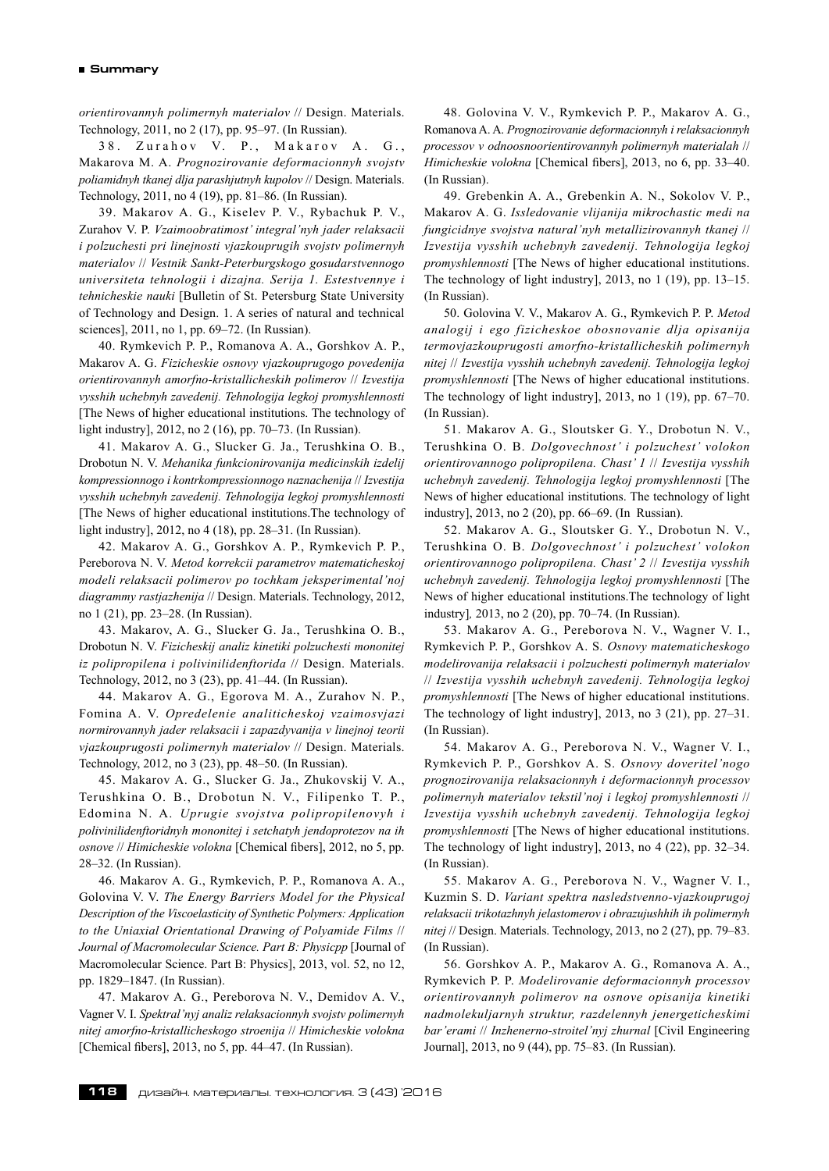*orientirovannyh polimernyh materialov* // Design. Materials. Technology, 2011, no 2 (17), pp. 95–97. (In Russian).

38. Zurahov V. P., Makarov A. G., Makarova M. A. *Prognozirovanie deformacionnyh svojstv poliamidnyh tkanej dlja parashjutnyh kupolov* // Design. Materials. Technology, 2011, no 4 (19), pp. 81–86. (In Russian).

39. Makarov A. G., Kiselev P. V., Rybachuk P. V., Zurahov V. P. *Vzaimoobratimost' integral'nyh jader relaksacii i polzuchesti pri linejnosti vjazkouprugih svojstv polimernyh materialov* // *Vestnik Sankt-Peterburgskogo gosudarstvennogo universiteta tehnologii i dizajna. Serija 1. Estestvennye i tehnicheskie nauki* [Bulletin of St. Petersburg State University of Technology and Design. 1. A series of natural and technical sciences], 2011, no 1, pp. 69–72. (In Russian).

40. Rymkevich P. P., Romanova A. A., Gorshkov A. P., Makarov A. G. *Fizicheskie osnovy vjazkouprugogo povedenija orientirovannyh amorfno-kristallicheskih polimerov* // *Izvestija vysshih uchebnyh zavedenij. Tehnologija legkoj promyshlennosti* [The News of higher educational institutions. The technology of light industry], 2012, no 2 (16), pp. 70–73. (In Russian).

41. Makarov A. G., Slucker G. Ja., Terushkina O. B., Drobotun N. V. *Mehanika funkcionirovanija medicinskih izdelij kompressionnogo i kontrkompressionnogo naznachenija* // *Izvestija vysshih uchebnyh zavedenij. Tehnologija legkoj promyshlennosti* [The News of higher educational institutions.The technology of light industry], 2012, no 4 (18), pp. 28–31. (In Russian).

42. Makarov A. G., Gorshkov A. P., Rymkevich P. P., Pereborova N. V. *Metod korrekcii parametrov matematicheskoj modeli relaksacii polimerov po tochkam jeksperimental'noj diagrammy rastjazhenija* // Design. Materials. Technology, 2012, no 1 (21), pp. 23–28. (In Russian).

43. Makarov, A. G., Slucker G. Ja., Terushkina O. B., Drobotun N. V. *Fizicheskij analiz kinetiki polzuchesti mononitej iz polipropilena i polivinilidenftorida* // Design. Materials. Technology, 2012, no 3 (23), pp. 41–44. (In Russian).

44. Makarov A. G., Egorova M. A., Zurahov N. P., Fomina A. V. *Opredelenie analiticheskoj vzaimosvjazi normirovannyh jader relaksacii i zapazdyvanija v linejnoj teorii vjazkouprugosti polimernyh materialov* // Design. Materials. Technology, 2012, no 3 (23), pp. 48–50. (In Russian).

45. Makarov A. G., Slucker G. Ja., Zhukovskij V. A., Terushkina O. B., Drobotun N. V., Filipenko T. P., Edomina N. A. *Uprugie svojstva polipropilenovyh i polivinilidenftoridnyh mononitej i setchatyh jendoprotezov na ih osnove* // *Himicheskie volokna* [Chemical fibers], 2012, no 5, pp. 28–32. (In Russian).

46. Makarov A. G., Rymkevich, P. P., Romanova A. A., Golovina V. V. *The Energy Barriers Model for the Physical Description of the Viscoelasticity of Synthetic Polymers: Application to the Uniaxial Orientational Drawing of Polyamide Films* // *Journal of Macromolecular Science. Part B: Physicpp* [Journal of Macromolecular Science. Part B: Physics], 2013, vol. 52, no 12, pp. 1829–1847. (In Russian).

47. Makarov A. G., Pereborova N. V., Demidov A. V., Vagner V. I. *Spektral'nyj analiz relaksacionnyh svojstv polimernyh nitej amorfno-kristallicheskogo stroenija* // *Himicheskie volokna* [Chemical fibers], 2013, no 5, pp. 44–47. (In Russian).

48. Golovina V. V., Rymkevich P. P., Makarov A. G., Romanova A. A. *Prognozirovanie deformacionnyh i relaksacionnyh processov v odnoosnoorientirovannyh polimernyh materialah* // *Himicheskie volokna* [Chemical fibers], 2013, no 6, pp. 33–40. (In Russian).

49. Grebenkin A. A., Grebenkin A. N., Sokolov V. P., Makarov A. G. *Issledovanie vlijanija mikrochastic medi na fungicidnye svojstva natural'nyh metallizirovannyh tkanej* // *Izvestija vysshih uchebnyh zavedenij. Tehnologija legkoj promyshlennosti* [The News of higher educational institutions. The technology of light industry], 2013, no 1 (19), pp. 13–15. (In Russian).

50. Golovina V. V., Makarov A. G., Rymkevich P. P. *Metod analogij i ego fizicheskoe obosnovanie dlja opisanija termovjazkouprugosti amorfno-kristallicheskih polimernyh nitej* // *Izvestija vysshih uchebnyh zavedenij. Tehnologija legkoj promyshlennosti* [The News of higher educational institutions. The technology of light industry], 2013, no 1 (19), pp. 67–70. (In Russian).

51. Makarov A. G., Sloutsker G. Y., Drobotun N. V., Terushkina O. B. *Dolgovechnost' i polzuchest' volokon orientirovannogo polipropilena. Chast' 1* // *Izvestija vysshih uchebnyh zavedenij. Tehnologija legkoj promyshlennosti* [The News of higher educational institutions. The technology of light industry], 2013, no 2 (20), pp. 66–69. (In Russian).

52. Makarov A. G., Sloutsker G. Y., Drobotun N. V., Terushkina O. B. *Dolgovechnost' i polzuchest' volokon orientirovannogo polipropilena. Chast' 2* // *Izvestija vysshih uchebnyh zavedenij. Tehnologija legkoj promyshlennosti* [The News of higher educational institutions.The technology of light industry]*,* 2013, no 2 (20), pp. 70–74. (In Russian).

53. Makarov A. G., Pereborova N. V., Wagner V. I., Rymkevich P. P., Gorshkov A. S. *Osnovy matematicheskogo modelirovanija relaksacii i polzuchesti polimernyh materialov* // *Izvestija vysshih uchebnyh zavedenij. Tehnologija legkoj promyshlennosti* [The News of higher educational institutions. The technology of light industry], 2013, no 3 (21), pp. 27–31. (In Russian).

54. Makarov A. G., Pereborova N. V., Wagner V. I., Rymkevich P. P., Gorshkov A. S. *Osnovy doveritel'nogo prognozirovanija relaksacionnyh i deformacionnyh processov polimernyh materialov tekstil'noj i legkoj promyshlennosti* // *Izvestija vysshih uchebnyh zavedenij. Tehnologija legkoj promyshlennosti* [The News of higher educational institutions. The technology of light industry], 2013, no 4 (22), pp. 32–34. (In Russian).

55. Makarov A. G., Pereborova N. V., Wagner V. I., Kuzmin S. D. *Variant spektra nasledstvenno-vjazkouprugoj relaksacii trikotazhnyh jelastomerov i obrazujushhih ih polimernyh nitej* // Design. Materials. Technology, 2013, no 2 (27), pp. 79–83. (In Russian).

56. Gorshkov A. P., Makarov A. G., Romanova A. A., Rymkevich P. P. *Modelirovanie deformacionnyh processov orientirovannyh polimerov na osnove opisanija kinetiki nadmolekuljarnyh struktur, razdelennyh jenergeticheskimi bar'erami* // *Inzhenerno-stroitel'nyj zhurnal* [Civil Engineering Journal], 2013, no 9 (44), pp. 75–83. (In Russian).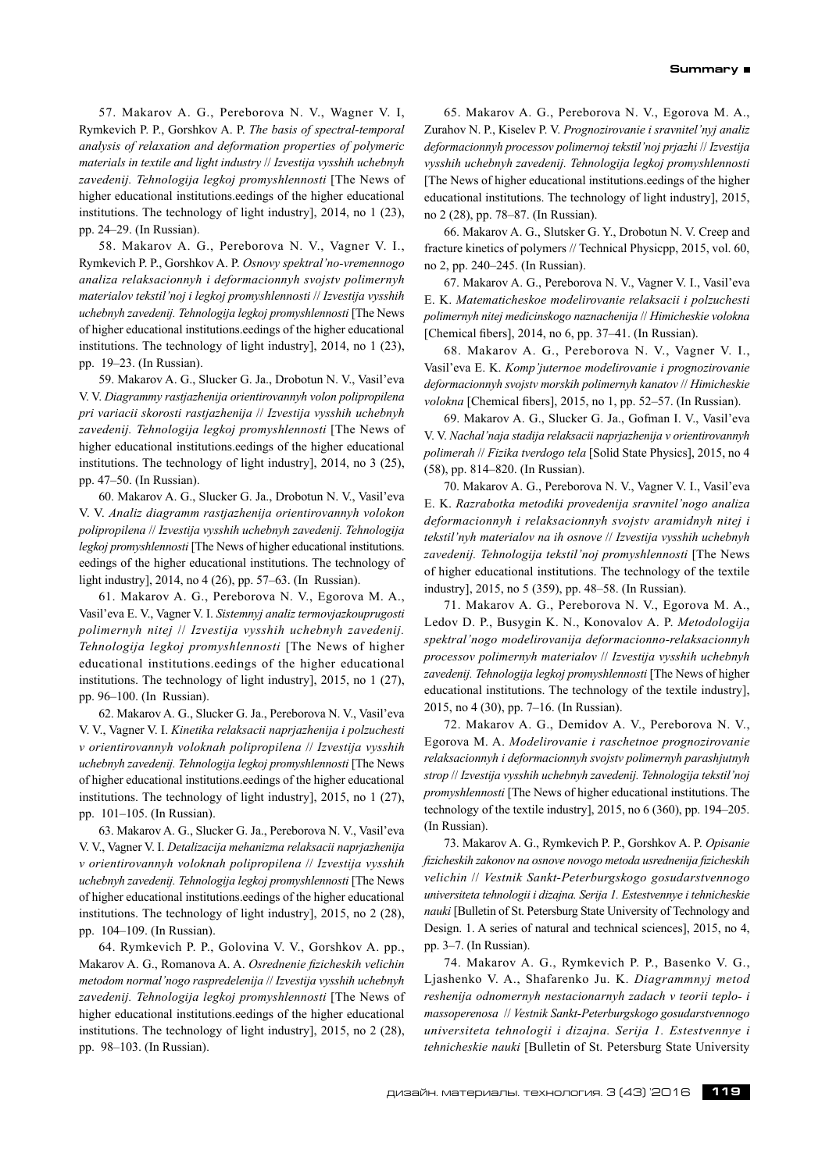57. Makarov A. G., Pereborova N. V., Wagner V. I, Rymkevich P. P., Gorshkov A. P. *The basis of spectral-temporal analysis of relaxation and deformation properties of polymeric materials in textile and light industry* // *Izvestija vysshih uchebnyh zavedenij. Tehnologija legkoj promyshlennosti* [The News of higher educational institutions.eedings of the higher educational institutions. The technology of light industry], 2014, no 1 (23), pp. 24–29. (In Russian).

58. Makarov A. G., Pereborova N. V., Vagner V. I., Rymkevich P. P., Gorshkov A. P. *Osnovy spektral'no-vremennogo analiza relaksacionnyh i deformacionnyh svojstv polimernyh materialov tekstil'noj i legkoj promyshlennosti* // *Izvestija vysshih uchebnyh zavedenij. Tehnologija legkoj promyshlennosti* [The News of higher educational institutions.eedings of the higher educational institutions. The technology of light industry], 2014, no 1 (23), pp. 19–23. (In Russian).

59. Makarov A. G., Slucker G. Ja., Drobotun N. V., Vasil'eva V. V. *Diagrammy rastjazhenija orientirovannyh volon polipropilena pri variacii skorosti rastjazhenija* // *Izvestija vysshih uchebnyh zavedenij. Tehnologija legkoj promyshlennosti* [The News of higher educational institutions.eedings of the higher educational institutions. The technology of light industry], 2014, no 3 (25), pp. 47–50. (In Russian).

60. Makarov A. G., Slucker G. Ja., Drobotun N. V., Vasil'eva V. V. *Analiz diagramm rastjazhenija orientirovannyh volokon polipropilena* // *Izvestija vysshih uchebnyh zavedenij. Tehnologija legkoj promyshlennosti* [The News of higher educational institutions. eedings of the higher educational institutions. The technology of light industry], 2014, no 4 (26), pp. 57–63. (In Russian).

61. Makarov A. G., Pereborova N. V., Egorova M. A., Vasil'eva E. V., Vagner V. I. *Sistemnyj analiz termovjazkouprugosti polimernyh nitej* // *Izvestija vysshih uchebnyh zavedenij. Tehnologija legkoj promyshlennosti* [The News of higher educational institutions.eedings of the higher educational institutions. The technology of light industry], 2015, no 1 (27), pp. 96–100. (In Russian).

62. Makarov A. G., Slucker G. Ja., Pereborova N. V., Vasil'eva V. V., Vagner V. I. *Kinetika relaksacii naprjazhenija i polzuchesti v orientirovannyh voloknah polipropilena* // *Izvestija vysshih uchebnyh zavedenij. Tehnologija legkoj promyshlennosti* [The News of higher educational institutions.eedings of the higher educational institutions. The technology of light industry], 2015, no 1 (27), pp. 101–105. (In Russian).

63. Makarov A. G., Slucker G. Ja., Pereborova N. V., Vasil'eva V. V., Vagner V. I. *Detalizacija mehanizma relaksacii naprjazhenija v orientirovannyh voloknah polipropilena* // *Izvestija vysshih uchebnyh zavedenij. Tehnologija legkoj promyshlennosti* [The News of higher educational institutions.eedings of the higher educational institutions. The technology of light industry], 2015, no 2 (28), pp. 104–109. (In Russian).

64. Rymkevich P. P., Golovina V. V., Gorshkov A. pp., Makarov A. G., Romanova A. A. *Osrednenie fizicheskih velichin metodom normal'nogo raspredelenija* // *Izvestija vysshih uchebnyh zavedenij. Tehnologija legkoj promyshlennosti* [The News of higher educational institutions.eedings of the higher educational institutions. The technology of light industry], 2015, no 2 (28), pp. 98–103. (In Russian).

65. Makarov A. G., Pereborova N. V., Egorova M. A., Zurahov N. P., Kiselev P. V. *Prognozirovanie i sravnitel'nyj analiz deformacionnyh processov polimernoj tekstil'noj prjazhi* // *Izvestija vysshih uchebnyh zavedenij. Tehnologija legkoj promyshlennosti* [The News of higher educational institutions.eedings of the higher educational institutions. The technology of light industry], 2015, no 2 (28), pp. 78–87. (In Russian).

66. Makarov A. G., Slutsker G. Y., Drobotun N. V. Creep and fracture kinetics of polymers // Technical Physicpp, 2015, vol. 60, no 2, pp. 240–245. (In Russian).

67. Makarov A. G., Pereborova N. V., Vagner V. I., Vasil'eva E. K. *Matematicheskoe modelirovanie relaksacii i polzuchesti polimernyh nitej medicinskogo naznachenija* // *Himicheskie volokna* [Chemical fibers], 2014, no 6, pp. 37–41. (In Russian).

68. Makarov A. G., Pereborova N. V., Vagner V. I., Vasil'eva E. K. *Komp'juternoe modelirovanie i prognozirovanie deformacionnyh svojstv morskih polimernyh kanatov* // *Himicheskie volokna* [Chemical fibers], 2015, no 1, pp. 52–57. (In Russian).

69. Makarov A. G., Slucker G. Ja., Gofman I. V., Vasil'eva V. V. *Nachal'naja stadija relaksacii naprjazhenija v orientirovannyh polimerah* // *Fizika tverdogo tela* [Solid State Physics], 2015, no 4 (58), pp. 814–820. (In Russian).

70. Makarov A. G., Pereborova N. V., Vagner V. I., Vasil'eva E. K. *Razrabotka metodiki provedenija sravnitel'nogo analiza deformacionnyh i relaksacionnyh svojstv aramidnyh nitej i tekstil'nyh materialov na ih osnove* // *Izvestija vysshih uchebnyh zavedenij. Tehnologija tekstil'noj promyshlennosti* [The News of higher educational institutions. The technology of the textile industry], 2015, no 5 (359), pp. 48–58. (In Russian).

71. Makarov A. G., Pereborova N. V., Egorova M. A., Ledov D. P., Busygin K. N., Konovalov A. P. *Metodologija spektral'nogo modelirovanija deformacionno-relaksacionnyh processov polimernyh materialov* // *Izvestija vysshih uchebnyh zavedenij. Tehnologija legkoj promyshlennosti* [The News of higher educational institutions. The technology of the textile industry], 2015, no 4 (30), pp. 7–16. (In Russian).

72. Makarov A. G., Demidov A. V., Pereborova N. V., Egorova M. A. *Modelirovanie i raschetnoe prognozirovanie relaksacionnyh i deformacionnyh svojstv polimernyh parashjutnyh strop* // *Izvestija vysshih uchebnyh zavedenij. Tehnologija tekstil'noj promyshlennosti* [The News of higher educational institutions. The technology of the textile industry], 2015, no 6 (360), pp. 194–205. (In Russian).

73. Makarov A. G., Rymkevich P. P., Gorshkov A. P. *Opisanie fizicheskih zakonov na osnove novogo metoda usrednenija fizicheskih velichin* // *Vestnik Sankt-Peterburgskogo gosudarstvennogo universiteta tehnologii i dizajna. Serija 1. Estestvennye i tehnicheskie nauki* [Bulletin of St. Petersburg State University of Technology and Design. 1. A series of natural and technical sciences], 2015, no 4, pp. 3–7. (In Russian).

74. Makarov A. G., Rymkevich P. P., Basenko V. G., Ljashenko V. A., Shafarenko Ju. K. *Diagrammnyj metod reshenija odnomernyh nestacionarnyh zadach v teorii teplo- i massoperenosa* // *Vestnik Sankt-Peterburgskogo gosudarstvennogo universiteta tehnologii i dizajna. Serija 1. Estestvennye i tehnicheskie nauki* [Bulletin of St. Petersburg State University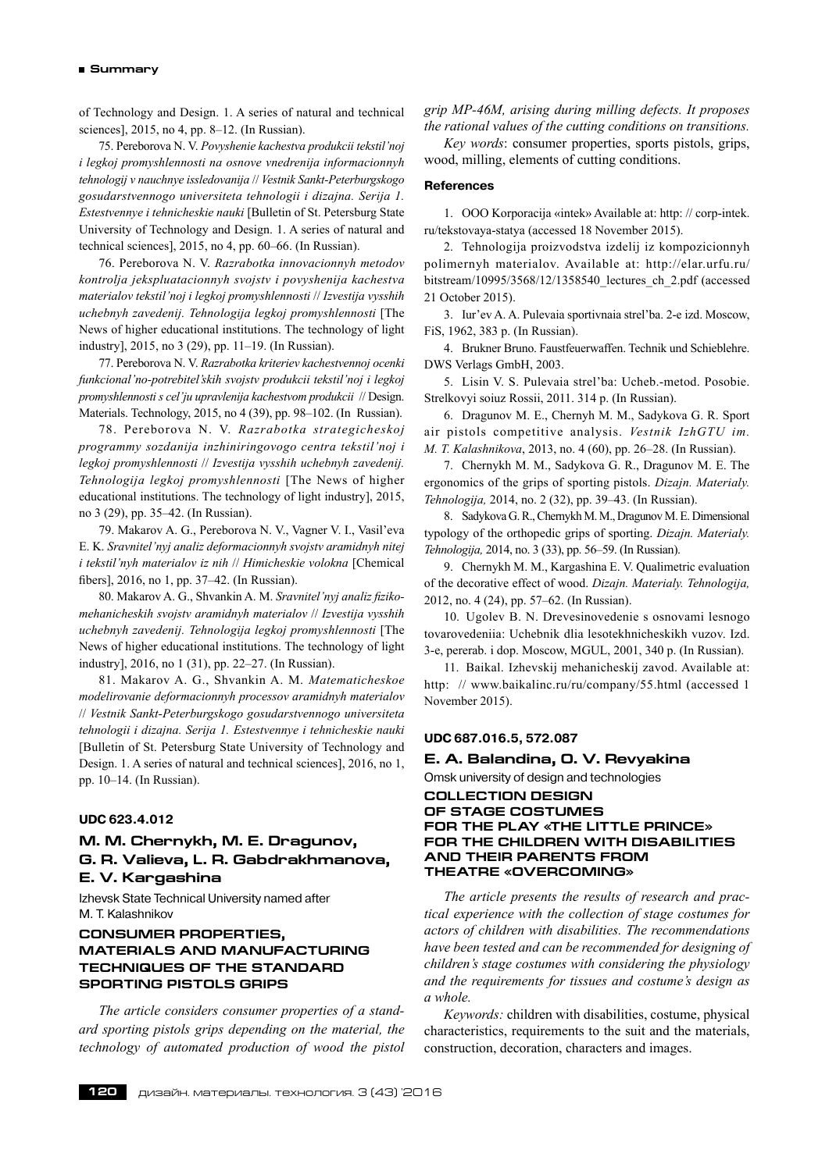#### **Summary**

of Technology and Design. 1. A series of natural and technical sciences], 2015, no 4, pp. 8–12. (In Russian).

75. Pereborova N. V. *Povyshenie kachestva produkcii tekstil'noj i legkoj promyshlennosti na osnove vnedrenija informacionnyh tehnologij v nauchnye issledovanija* // *Vestnik Sankt-Peterburgskogo gosudarstvennogo universiteta tehnologii i dizajna. Serija 1. Estestvennye i tehnicheskie nauki* [Bulletin of St. Petersburg State University of Technology and Design. 1. A series of natural and technical sciences], 2015, no 4, pp. 60–66. (In Russian).

76. Pereborova N. V. *Razrabotka innovacionnyh metodov kontrolja jekspluatacionnyh svojstv i povyshenija kachestva materialov tekstil'noj i legkoj promyshlennosti* // *Izvestija vysshih uchebnyh zavedenij. Tehnologija legkoj promyshlennosti* [The News of higher educational institutions. The technology of light industry], 2015, no 3 (29), pp. 11–19. (In Russian).

77. Pereborova N. V. *Razrabotka kriteriev kachestvennoj ocenki funkcional'no-potrebitel'skih svojstv produkcii tekstil'noj i legkoj promyshlennosti s cel'ju upravlenija kachestvom produkcii* // Design. Materials. Technology, 2015, no 4 (39), pp. 98–102. (In Russian).

78. Pereborova N. V. *Razrabotka strategicheskoj programmy sozdanija inzhiniringovogo centra tekstil'noj i legkoj promyshlennosti* // *Izvestija vysshih uchebnyh zavedenij. Tehnologija legkoj promyshlennosti* [The News of higher educational institutions. The technology of light industry], 2015, no 3 (29), pp. 35–42. (In Russian).

79. Makarov A. G., Pereborova N. V., Vagner V. I., Vasil'eva E. K. *Sravnitel'nyj analiz deformacionnyh svojstv aramidnyh nitej i tekstil'nyh materialov iz nih* // *Himicheskie volokna* [Chemical fibers], 2016, no 1, pp. 37–42. (In Russian).

80. Makarov A. G., Shvankin A. M. *Sravnitel'nyj analiz fizikomehanicheskih svojstv aramidnyh materialov* // *Izvestija vysshih uchebnyh zavedenij. Tehnologija legkoj promyshlennosti* [The News of higher educational institutions. The technology of light industry], 2016, no 1 (31), pp. 22–27. (In Russian).

81. Makarov A. G., Shvankin A. M. *Matematicheskoe modelirovanie deformacionnyh processov aramidnyh materialov* // *Vestnik Sankt-Peterburgskogo gosudarstvennogo universiteta tehnologii i dizajna. Serija 1. Estestvennye i tehnicheskie nauki* [Bulletin of St. Petersburg State University of Technology and Design. 1. A series of natural and technical sciences], 2016, no 1, pp. 10–14. (In Russian).

#### **UDC 623.4.012**

# **M. M. Chernykh, M. E. Dragunov, G. R. Valieva, L. R. Gabdrakhmanova, E. V. Kargashina**

Izhevsk State Technical University named after M. T. Kalashnikov

# **CONSUMER PROPERTIES, MATERIALS AND MANUFACTURING TECHNIQUES OF THE STANDARD SPORTING PISTOLS GRIPS**

*The article considers consumer properties of a standard sporting pistols grips depending on the material, the technology of automated production of wood the pistol* *grip MP-46M, arising during milling defects. It proposes the rational values of the cutting conditions on transitions.*

*Key words*: consumer properties, sports pistols, grips, wood, milling, elements of cutting conditions.

#### **References**

1. OOO Korporacija «intek» Available at: http: // corp-intek. ru/tekstovaya-statya (accessed 18 November 2015).

2. Tehnologija proizvodstva izdelij iz kompozicionnyh polimernyh materialov. Available at: http://elar.urfu.ru/ bitstream/10995/3568/12/1358540\_lectures\_ch\_2.pdf (accessed 21 October 2015).

3. Iur'ev A. A. Pulevaia sportivnaia strel'ba. 2‑e izd. Moscow, FiS, 1962, 383 p. (In Russian).

4. Brukner Bruno. Faustfeuerwaffen. Technik und Schieblehre. DWS Verlags GmbH, 2003.

5. Lisin V. S. Pulevaia strel'ba: Ucheb.‑metod. Posobie. Strelkovyi soiuz Rossii, 2011. 314 p. (In Russian).

6. Dragunov M. E., Chernyh M. M., Sadykova G. R. Sport air pistols competitive analysis. *Vestnik IzhGTU im. M. T. Kalashnikova*, 2013, no. 4 (60), pp. 26–28. (In Russian).

7. Chernykh М. М., Sadykova G. R., Dragunov М. Е. The ergonomics of the grips of sporting pistols. *Dizajn. Materialy. Tehnologija,* 2014, no. 2 (32), pp. 39–43. (In Russian).

8. Sadykova G.R., Chernykh М. М., Dragunov М. Е. Dimensional typology of the orthopedic grips of sporting. *Dizajn. Materialy. Tehnologija,* 2014, no. 3 (33), pp. 56–59. (In Russian).

9. Chernykh М. М., Kargashina Е. V. Qualimetric evaluation of the decorative effect of wood. *Dizajn. Materialy. Tehnologija,* 2012, no. 4 (24), pp. 57–62. (In Russian).

10. Ugolev B. N. Drevesinovedenie s osnovami lesnogo tovarovedeniia: Uchebnik dlia lesotekhnicheskikh vuzov. Izd. 3‑e, pererab. i dop. Moscow, MGUL, 2001, 340 p. (In Russian).

11. Baikal. Izhevskij mehanicheskij zavod. Available at: http: // www.baikalinc.ru/ru/company/55.html (accessed 1 November 2015).

# **UDC 687.016.5, 572.087**

# **E. A. Balandina, O. V. Revyakina**

Omsk university of design and technologies

**COLLECTION DESIGN OF STAGE COSTUMES FOR THE PLAY «THE LITTLE PRINCE» FOR THE CHILDREN WITH DISABILITIES AND THEIR PARENTS FROM THEATRE «OVERCOMING»**

*The article presents the results of research and practical experience with the collection of stage costumes for actors of children with disabilities. The recommendations have been tested and can be recommended for designing of children's stage costumes with considering the physiology and the requirements for tissues and costume's design as a whole.*

*Keywords:* children with disabilities, costume, physical characteristics, requirements to the suit and the materials, construction, decoration, characters and images.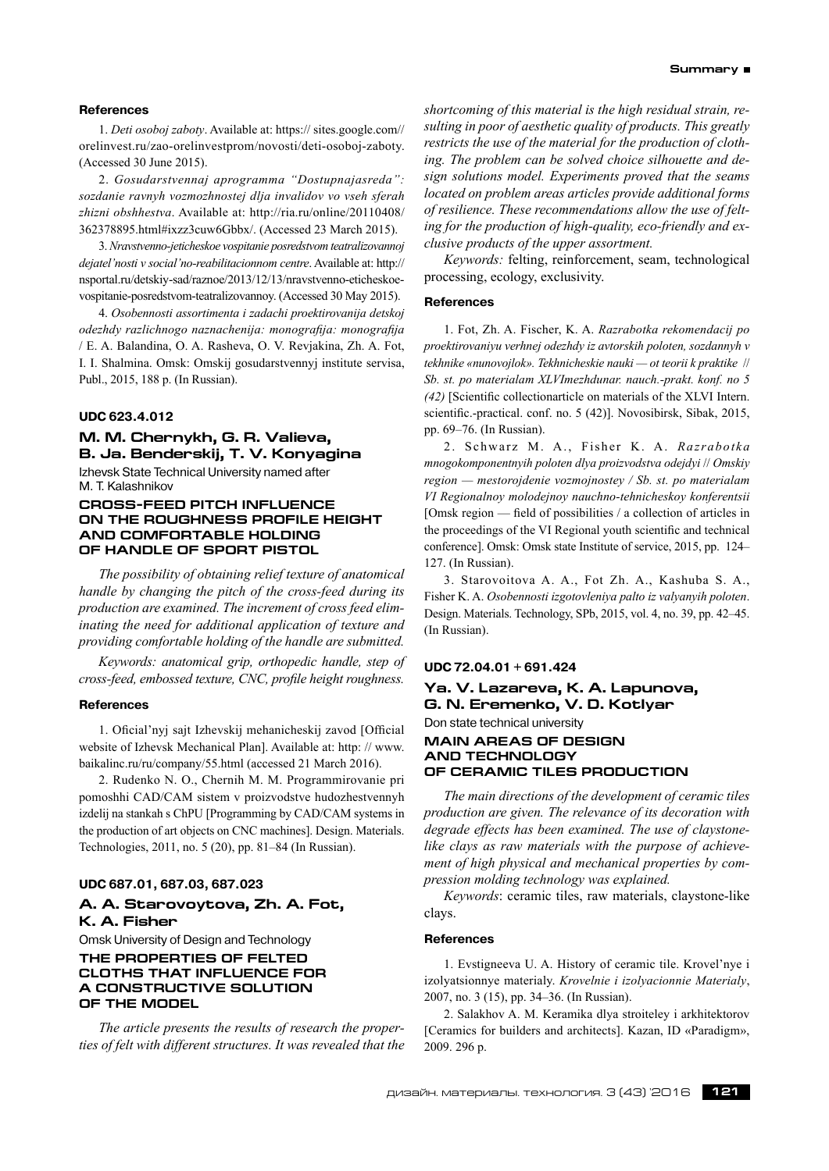#### **References**

1. *Deti osoboj zaboty*. Available at: https:// sites.google.com// orelinvest.ru/zao-orelinvestprom/novosti/deti-osoboj-zaboty. (Accessed 30 June 2015).

2. *Gosudarstvennaj aprogramma "Dostupnajasreda": sozdanie ravnyh vozmozhnostej dlja invalidov vo vseh sferah zhizni obshhestva*. Available at: http://ria.ru/online/20110408/ 362378895.html#ixzz3cuw6Gbbx/. (Accessed 23 March 2015).

3.*Nravstvenno-jeticheskoe vospitanie posredstvom teatralizovannoj dejatel'nosti v social'no-reabilitacionnom centre*. Available at: http:// nsportal.ru/detskiy-sad/raznoe/2013/12/13/nravstvenno-eticheskoevospitanie-posredstvom-teatralizovannoy. (Accessed 30 May 2015).

4. *Osobennosti assortimenta i zadachi proektirovanija detskoj odezhdy razlichnogo naznachenija: monografija: monografija* / E. A. Balandina, O. A. Rasheva, O. V. Revjakina, Zh. A. Fot, I. I. Shalmina. Omsk: Omskij gosudarstvennyj institute servisa, Publ., 2015, 188 p. (In Russian).

#### **UDC 623.4.012**

# **M. M. Chernykh, G. R. Valieva, B. Ja. Benderskij, T. V. Konyagina**

Izhevsk State Technical University named after M. T. Kalashnikov

## **Cross-feed pitch influence on the roughness profile height and comfortable holding of handle of sport pistol**

*The possibility of obtaining relief texture of anatomical handle by changing the pitch of the cross-feed during its production are examined. The increment of cross feed eliminating the need for additional application of texture and providing comfortable holding of the handle are submitted.*

*Keywords: anatomical grip, orthopedic handle, step of cross-feed, embossed texture, CNC, profile height roughness.*

#### **References**

1. Oficial'nyj sajt Izhevskij mehanicheskij zavod [Official website of Izhevsk Mechanical Plan]. Available at: http: // www. baikalinc.ru/ru/company/55.html (accessed 21 March 2016).

2. Rudenko N. O., Chernih M. M. Programmirovanie pri pomoshhi CAD/CAM sistem v proizvodstve hudozhestvennyh izdelij na stankah s ChPU [Programming by CAD/CAM systems in the production of art objects on CNC machines]. Design. Materials. Technologies, 2011, no. 5 (20), pp. 81–84 (In Russian).

#### **UDC 687.01, 687.03, 687.023**

# **A. A. Starovoytova, Zh. A. Fot, K. A. Fisher**

Omsk University of Design and Technology **THE PROPERTIES OF FELTED CLOTHS THAT INFLUENCE FOR A CONSTRUCTIVE SOLUTION OF THE MODEL**

*The article presents the results of research the properties of felt with different structures. It was revealed that the* *shortcoming of this material is the high residual strain, resulting in poor of aesthetic quality of products. This greatly restricts the use of the material for the production of clothing. The problem can be solved choice silhouette and design solutions model. Experiments proved that the seams located on problem areas articles provide additional forms of resilience. These recommendations allow the use of felting for the production of high-quality, eco-friendly and exclusive products of the upper assortment.*

*Keywords:* felting, reinforcement, seam, technological processing, ecology, exclusivity.

#### **References**

1. Fot, Zh. A. Fischer, K. A. *Razrabotka rekomendacij po proektirovaniyu verhnej odezhdy iz avtorskih poloten, sozdannyh v tekhnike «nunovojlok». Tekhnicheskie nauki — ot teorii k praktike* // *Sb. st. po materialam XLVImezhdunar. nauch.‑prakt. konf. no 5 (42)* [Scientific collectionarticle on materials of the XLVI Intern. scientific.-practical. conf. no. 5 (42)]. Novosibirsk, Sibak, 2015, pp. 69–76. (In Russian).

2. Schwarz M. A., Fisher K. A. *Razrabotka mnogokomponentnyih poloten dlya proizvodstva odejdyi* // *Omskiy region — mestorojdenie vozmojnostey / Sb. st. po materialam VI Regionalnoy molodejnoy nauchno-tehnicheskoy konferentsii* [Omsk region — field of possibilities / a collection of articles in the proceedings of the VI Regional youth scientific and technical conference]. Omsk: Omsk state Institute of service, 2015, pp. 124– 127. (In Russian).

3. Starovoitova A. A., Fot Zh. A., Kashuba S. A., Fisher K. A. *Osobennosti izgotovleniya palto iz valyanyih poloten*. Design. Materials. Technology, SPb, 2015, vol. 4, no. 39, pp. 42–45. (In Russian).

#### **UDC 72.04.01 + 691.424**

**Ya. V. Lazareva, K. A. Lapunova, G. N. Eremenko, V. D. Kotlyar** Don state technical university **MAIN AREAS OF DESIGN AND TECHNOLOGY OF CERAMIC TILES PRODUCTION**

*The main directions of the development of ceramic tiles production are given. The relevance of its decoration with degrade effects has been examined. The use of claystonelike clays as raw materials with the purpose of achievement of high physical and mechanical properties by compression molding technology was explained.*

*Keywords*: ceramic tiles, raw materials, claystone-like clays.

#### **References**

1. Evstigneeva U. A. History of ceramic tile. Krovel'nye i izolyatsionnye materialy. *Krovelnie i izolyacionnie Materialy*, 2007, no. 3 (15), pp. 34–36. (In Russian).

2. Salakhov A. M. Keramika dlya stroiteley i arkhitektorov [Ceramics for builders and architects]. Kazan, ID «Paradigm». 2009. 296 p.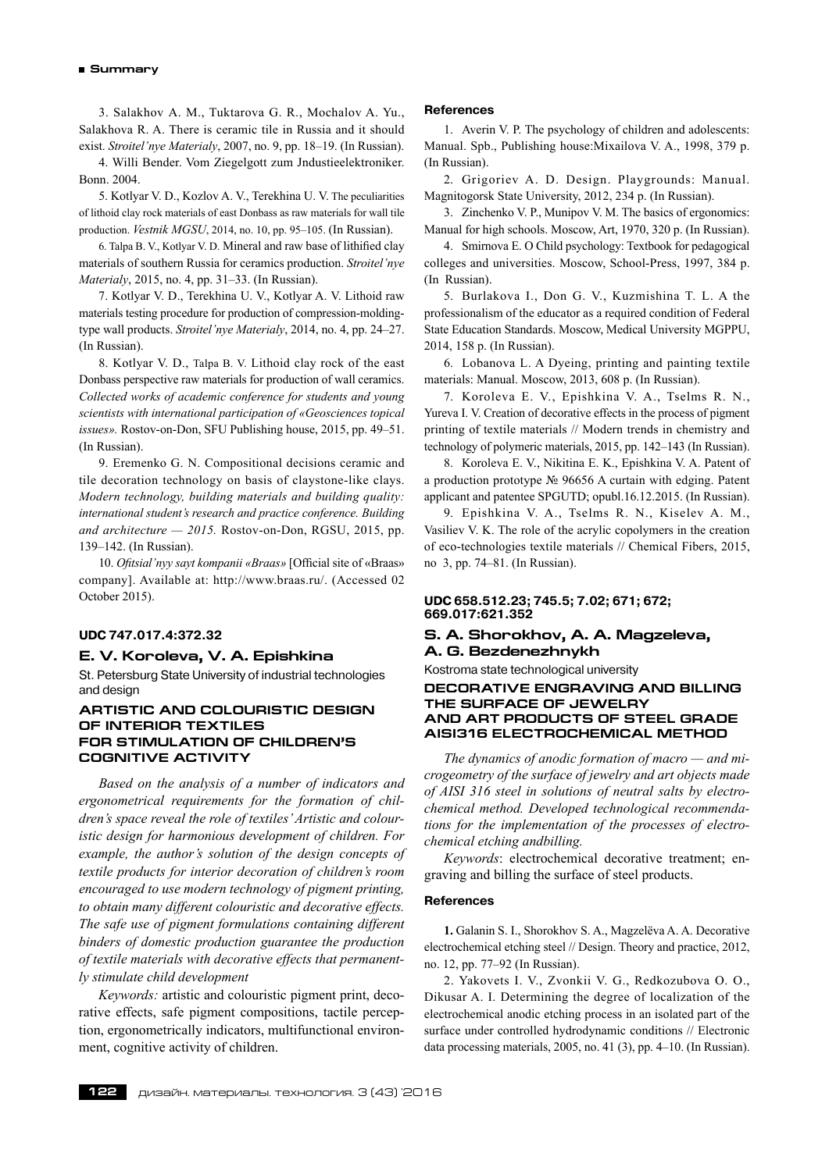#### **Summary**

3. Salakhov А. М., Tuktarova G. R., Mochalov A. Yu., Salakhova R. A. There is ceramic tile in Russia and it should exist. *Stroitel'nye Materialy*, 2007, no. 9, pp. 18–19. (In Russian).

4. Willi Bender. Vom Ziegelgott zum Jndustieelektroniker. Bonn. 2004.

5. Kotlyar V. D., Kozlov A. V., Terekhina U. V. The peculiarities of lithoid clay rock materials of east Donbass as raw materials for wall tile production. *Vestnik MGSU*, 2014, no. 10, pp. 95–105. (In Russian).

6. Talpa B. V., Kotlyar V. D. Mineral and raw base of lithified clay materials of southern Russia for ceramics production. *Stroitel'nye Materialy*, 2015, no. 4, pp. 31–33. (In Russian).

7. Kotlyar V. D., Terekhina U. V., Kotlyar A. V. Lithoid raw materials testing procedure for production of compression-moldingtype wall products. *Stroitel'nye Materialy*, 2014, no. 4, pp. 24–27. (In Russian).

8. Kotlyar V. D., Talpa B. V. Lithoid clay rock of the east Donbass perspective raw materials for production of wall ceramics. *Collected works of academic conference for students and young scientists with international participation of «Geosciences topical issues».* Rostov-on-Don, SFU Publishing house, 2015, pр. 49–51. (In Russian).

9. Eremenko G. N. Compositional decisions ceramic and tile decoration technology on basis of claystone-like clays. *Modern technology, building materials and building quality: international student's research and practice conference. Building and architecture — 2015.* Rostov-on-Don, RGSU, 2015, pр. 139–142. (In Russian).

10. *Ofitsial'nyy sayt kompanii «Braas»* [Official site of «Вraas» company]. Available at: http://www.braas.ru/. (Accessed 02 October 2015).

# **UDC 747.017.4:372.32**

# **E. V. Koroleva, V. A. Epishkina**

St. Petersburg State University of industrial technologies and design

# **Artistic and colouristic design of interior textiles for stimulation of children's cognitive activity**

*Based on the analysis of a number of indicators and ergonometrical requirements for the formation of children's space reveal the role of textiles'Artistic and colouristic design for harmonious development of children. For example, the author's solution of the design concepts of textile products for interior decoration of children's room encouraged to use modern technology of pigment printing, to obtain many different colouristic and decorative effects. The safe use of pigment formulations containing different binders of domestic production guarantee the production of textile materials with decorative effects that permanently stimulate child development*

*Keywords:* artistic and colouristic pigment print, decorative effects, safe pigment compositions, tactile perception, ergonometrically indicators, multifunctional environment, cognitive activity of children.

#### **References**

1. Averin V. P. The psychology of children and adolescents: Manual. Spb., Publishing house:Mixailova V. A., 1998, 379 p. (In Russian).

2. Grigoriev A. D. Design. Playgrounds: Manual. Magnitogorsk State University, 2012, 234 p. (In Russian).

3. Zinchenko V. P., Munipov V. M. The basics of ergonomics: Manual for high schools. Moscow, Art, 1970, 320 p. (In Russian).

4. Smirnova E. O Child psychology: Textbook for pedagogical colleges and universities. Moscow, School-Press, 1997, 384 p. (In Russian).

5. Burlakova I., Don G. V., Kuzmishina T. L. A the professionalism of the educator as a required condition of Federal State Education Standards. Moscow, Medical University MGPPU, 2014, 158 p. (In Russian).

6. Lobanova L. A Dyeing, printing and painting textile materials: Manual. Moscow, 2013, 608 p. (In Russian).

7. Koroleva E. V., Epishkina V. A., Tselms R. N., Yureva I. V. Creation of decorative effects in the process of pigment printing of textile materials // Modern trends in chemistry and technology of polymeric materials, 2015, pp. 142–143 (In Russian).

8. Koroleva E. V., Nikitina E. K., Epishkina V. A. Patent of a production prototype № 96656 A curtain with edging. Patent applicant and patentee SPGUTD; opubl.16.12.2015. (In Russian).

9. Epishkina V. A., Tselms R. N., Kiselev A. M., Vasiliev V. K. The role of the acrylic copolymers in the creation of eco-technologies textile materials // Chemical Fibers, 2015, no 3, pp. 74–81. (In Russian).

# **UDC 658.512.23; 745.5; 7.02; 671; 672; 669.017:621.352**

# **S. A. Shorokhov, A. A. Magzeleva, A. G. Bezdenezhnykh**

Kostroma state technological university

#### **DECORATIVE ENGRAVING AND BILLING THE SURFACE OF JEWELRY AND ART PRODUCTS OF STEEL GRADE AISI316 ELECTROCHEMICAL METHOD**

*The dynamics of anodic formation of macro — and microgeometry of the surface of jewelry and art objects made of AISI 316 steel in solutions of neutral salts by electrochemical method. Developed technological recommendations for the implementation of the processes of electrochemical etching andbilling.*

*Keywords*: electrochemical decorative treatment; engraving and billing the surface of steel products.

#### **References**

**1.** Galanin S. I., Shorokhov S. A., Magzelёva A. A. Decorative electrochemical etching steel // Design. Theory and practice, 2012, no. 12, pp. 77–92 (In Russian).

2. Yakovets I. V., Zvonkii V. G., Redkozubova O. O., Dikusar A. I. Determining the degree of localization of the electrochemical anodic etching process in an isolated part of the surface under controlled hydrodynamic conditions // Electronic data processing materials, 2005, no. 41 (3), pp. 4–10. (In Russian).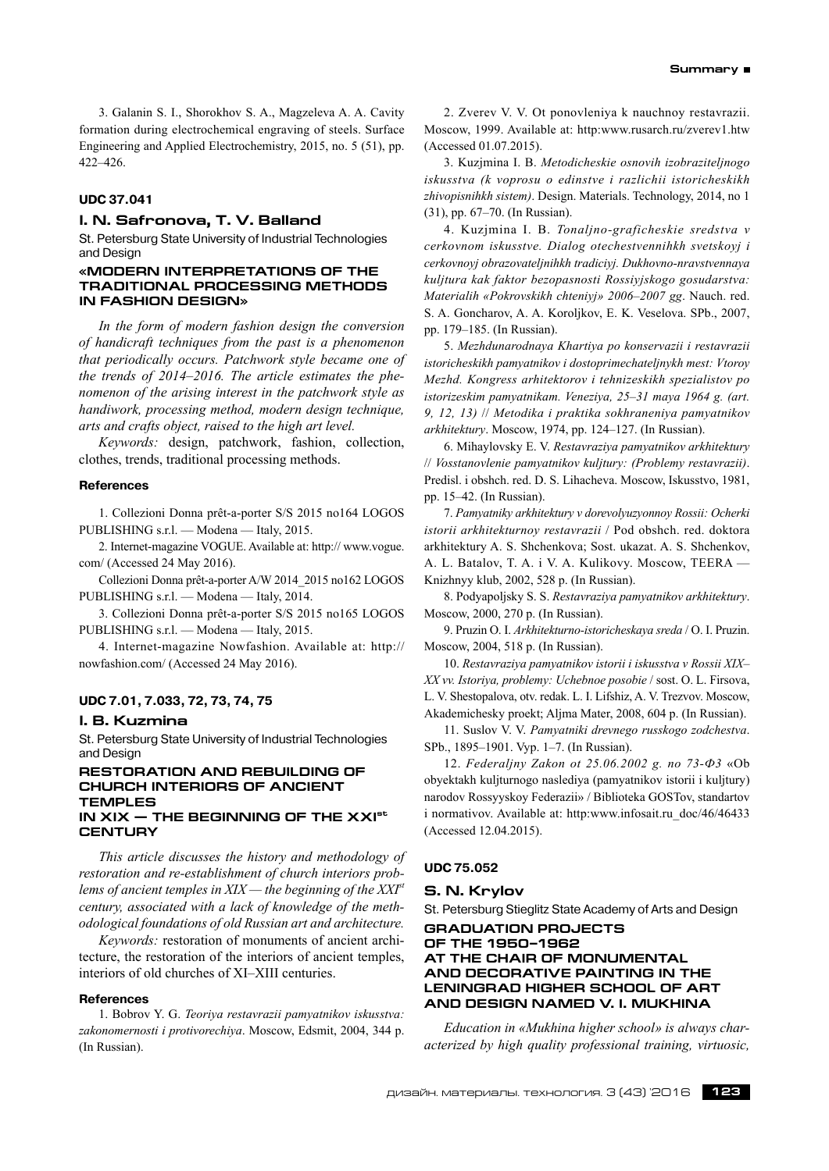3. Galanin S. I., Shorokhov S. A., Magzeleva A. A. Cavity formation during electrochemical engraving of steels. Surface Engineering and Applied Electrochemistry, 2015, no. 5 (51), pp. 422–426.

## **UDC 37.041**

# **I. N. Safronova, T. V. Balland**

St. Petersburg State University of Industrial Technologies and Design

## **«MODERN INTERPRETATIONS OF THE TRADITIONAL PROCESSING METHODS IN FASHION DESIGN»**

*In the form of modern fashion design the conversion of handicraft techniques from the past is a phenomenon that periodically occurs. Patchwork style became one of the trends of 2014–2016. The article estimates the phenomenon of the arising interest in the patchwork style as handiwork, processing method, modern design technique, arts and crafts object, raised to the high art level.*

*Keywords:* design, patchwork, fashion, collection, clothes, trends, traditional processing methods.

#### **References**

1. Collezioni Donna prêt-a-porter S/S 2015 no164 LOGOS PUBLISHING s.r.l. — Modena — Italy, 2015.

2. Internet-magazine VOGUE. Available at: http:// www.vogue. com/ (Accessed 24 May 2016).

Collezioni Donna prêt-a-porter A/W 2014\_2015 no162 LOGOS PUBLISHING s.r.l. — Modena — Italy, 2014.

3. Collezioni Donna prêt-a-porter S/S 2015 no165 LOGOS PUBLISHING s.r.l. — Modena — Italy, 2015.

4. Internet-magazine Nowfashion. Available at: http:// nowfashion.com/ (Accessed 24 May 2016).

# **UDC 7.01, 7.033, 72, 73, 74, 75**

#### **I. B. Kuzmina**

St. Petersburg State University of Industrial Technologies and Design

#### **Restoration and rebuilding of church interiors of ancient temples in XIX — the beginning of the XXIst**

# **century**

*This article discusses the history and methodology of restoration and re-establishment of church interiors problems of ancient temples in XIX — the beginning of the XXIst century, associated with a lack of knowledge of the methodological foundations of old Russian art and architecture.*

*Keywords:* restoration of monuments of ancient architecture, the restoration of the interiors of ancient temples, interiors of old churches of XI–XIII centuries.

#### **References**

1. Bobrov Y. G. *Teoriya restavrazii pamyatnikov iskusstva: zakonomernosti i protivorechiya*. Moscow, Edsmit, 2004, 344 p. (In Russian).

2. Zverev V. V. Ot ponovleniya k nauchnoy restavrazii. Moscow, 1999. Available at: http:www.rusarch.ru/zverev1.htw (Accessed 01.07.2015).

3. Kuzjmina I. B. *Metodicheskie osnovih izobraziteljnogo iskusstva (k voprosu o edinstve i razlichii istoricheskikh zhivopisnihkh sistem)*. Design. Materials. Technology, 2014, no 1 (31), pp. 67–70. (In Russian).

4. Kuzjmina I. B. *Tonaljno-graficheskie sredstva v cerkovnom iskusstve. Dialog otechestvennihkh svetskoyj i cerkovnoyj obrazovateljnihkh tradiciyj. Dukhovno-nravstvennaya kuljtura kak faktor bezopasnosti Rossiyjskogo gosudarstva: Materialih «Pokrovskikh chteniyj» 2006–2007 gg*. Nauch. red. S. A. Goncharov, A. A. Koroljkov, E. K. Veselova. SPb., 2007, pp. 179–185. (In Russian).

5. *Mezhdunarodnaya Khartiya po konservazii i restavrazii istoricheskikh pamyatnikov i dostoprimechateljnykh mest: Vtoroy Mezhd. Kongress arhitektorov i tehnizeskikh spezialistov po istorizeskim pamyatnikam. Veneziya, 25–31 maya 1964 g. (art. 9, 12, 13)* // *Metodika i praktika sokhraneniya pamyatnikov arkhitektury*. Moscow, 1974, pp. 124–127. (In Russian).

6. Mihaylovsky E. V. *Restavraziya pamyatnikov arkhitektury* // *Vosstanovlenie pamyatnikov kuljtury: (Problemy restavrazii)*. Predisl. i obshch. red. D. S. Lihacheva. Moscow, Iskusstvo, 1981, pp. 15–42. (In Russian).

7. *Pamyatniky arkhitektury v dorevolyuzyonnoy Rossii: Ocherki istorii arkhitekturnoy restavrazii* / Pod obshch. red. doktora arkhitektury A. S. Shchenkova; Sost. ukazat. A. S. Shchenkov, A. L. Batalov, T. A. i V. A. Kulikovy. Moscow, TEERA — Knizhnyy klub, 2002, 528 p. (In Russian).

8. Podyapoljsky S. S. *Restavraziya pamyatnikov arkhitektury*. Moscow, 2000, 270 p. (In Russian).

9. Pruzin O. I. *Arkhitekturno-istoricheskaya sreda* / O. I. Pruzin. Moscow, 2004, 518 p. (In Russian).

10. *Restavraziya pamyatnikov istorii i iskusstva v Rossii XIX– XX vv. Istoriya, problemy: Uchebnoe posobie* / sost. O. L. Firsova, L. V. Shestopalova, otv. redak. L. I. Lifshiz, A. V. Trezvov. Moscow, Akademichesky proekt; Aljma Mater, 2008, 604 p. (In Russian).

11. Suslov V. V. *Pamyatniki drevnego russkogo zodchestva*. SPb., 1895–1901. Vyp. 1–7. (In Russian).

12. *Federaljny Zakon ot 25.06.2002 g. no 73‑Ф3* «Ob obyektakh kuljturnogo naslediya (pamyatnikov istorii i kuljtury) narodov Rossyyskoy Federazii» / Biblioteka GOSTov, standartov i normativov. Available at: http:www.infosait.ru\_doc/46/46433 (Accessed 12.04.2015).

#### **UDC 75.052**

#### **S. N. Krylov**

St. Petersburg Stieglitz State Academy of Arts and Design

**GRADUATION PROJECTS OF THE 1950–1962 AT THE CHAIR OF MONUMENTAL AND DECORATIVE PAINTING IN THE LENINGRAD HIGHER SCHOOL OF ART AND DESIGN NAMED V. I. MUKHINA**

*Education in «Mukhina higher school» is always characterized by high quality professional training, virtuosic,*